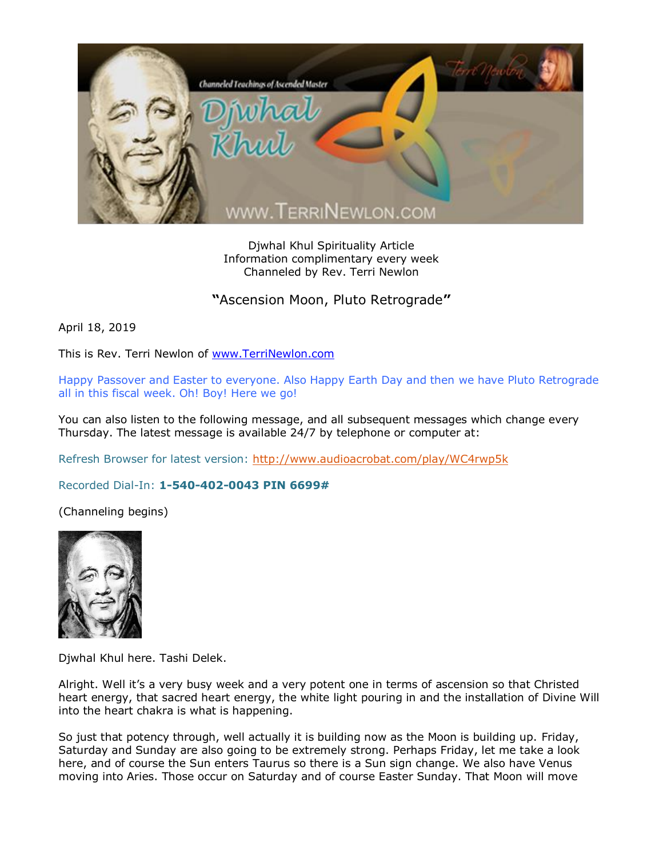

Djwhal Khul Spirituality Article Information complimentary every week Channeled by Rev. Terri Newlon

**"**Ascension Moon, Pluto Retrograde**"**

April 18, 2019

This is Rev. Terri Newlon of [www.TerriNewlon.com](http://www.terrinewlon.com/)

Happy Passover and Easter to everyone. Also Happy Earth Day and then we have Pluto Retrograde all in this fiscal week. Oh! Boy! Here we go!

You can also listen to the following message, and all subsequent messages which change every Thursday. The latest message is available 24/7 by telephone or computer at:

Refresh Browser for latest version:<http://www.audioacrobat.com/play/WC4rwp5k>

Recorded Dial-In: **1-540-402-0043 PIN 6699#**

(Channeling begins)



Djwhal Khul here. Tashi Delek.

Alright. Well it's a very busy week and a very potent one in terms of ascension so that Christed heart energy, that sacred heart energy, the white light pouring in and the installation of Divine Will into the heart chakra is what is happening.

So just that potency through, well actually it is building now as the Moon is building up. Friday, Saturday and Sunday are also going to be extremely strong. Perhaps Friday, let me take a look here, and of course the Sun enters Taurus so there is a Sun sign change. We also have Venus moving into Aries. Those occur on Saturday and of course Easter Sunday. That Moon will move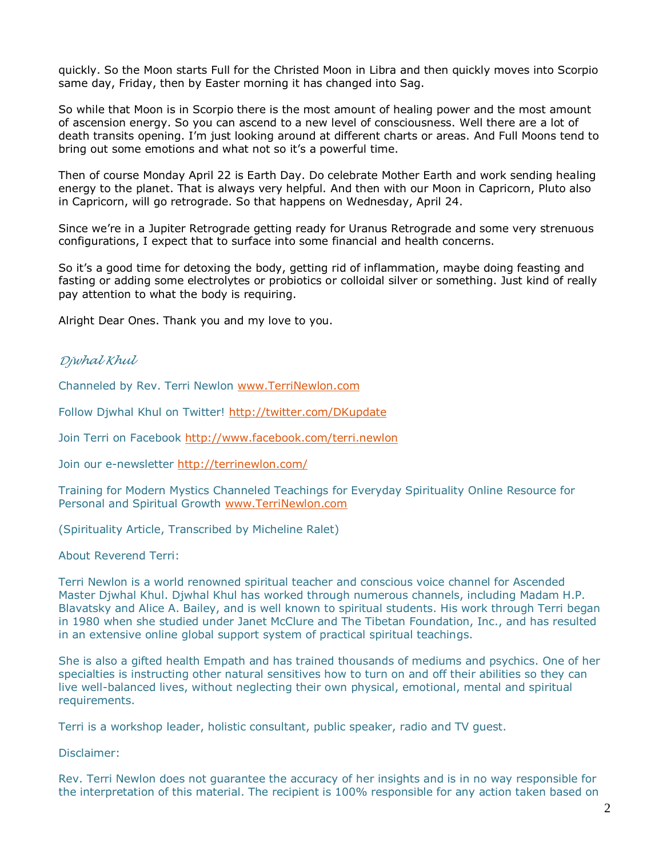quickly. So the Moon starts Full for the Christed Moon in Libra and then quickly moves into Scorpio same day, Friday, then by Easter morning it has changed into Sag.

So while that Moon is in Scorpio there is the most amount of healing power and the most amount of ascension energy. So you can ascend to a new level of consciousness. Well there are a lot of death transits opening. I'm just looking around at different charts or areas. And Full Moons tend to bring out some emotions and what not so it's a powerful time.

Then of course Monday April 22 is Earth Day. Do celebrate Mother Earth and work sending healing energy to the planet. That is always very helpful. And then with our Moon in Capricorn, Pluto also in Capricorn, will go retrograde. So that happens on Wednesday, April 24.

Since we're in a Jupiter Retrograde getting ready for Uranus Retrograde and some very strenuous configurations, I expect that to surface into some financial and health concerns.

So it's a good time for detoxing the body, getting rid of inflammation, maybe doing feasting and fasting or adding some electrolytes or probiotics or colloidal silver or something. Just kind of really pay attention to what the body is requiring.

Alright Dear Ones. Thank you and my love to you.

## *Djwhal Khul*

Channeled by Rev. Terri Newlon [www.TerriNewlon.com](http://www.terrinewlon.com/)

Follow Djwhal Khul on Twitter!<http://twitter.com/DKupdate>

Join Terri on Facebook<http://www.facebook.com/terri.newlon>

Join our e-newsletter<http://terrinewlon.com/>

Training for Modern Mystics Channeled Teachings for Everyday Spirituality Online Resource for Personal and Spiritual Growth [www.TerriNewlon.com](http://www.terrinewlon.com/)

(Spirituality Article, Transcribed by Micheline Ralet)

About Reverend Terri:

Terri Newlon is a world renowned spiritual teacher and conscious voice channel for Ascended Master Djwhal Khul. Djwhal Khul has worked through numerous channels, including Madam H.P. Blavatsky and Alice A. Bailey, and is well known to spiritual students. His work through Terri began in 1980 when she studied under Janet McClure and The Tibetan Foundation, Inc., and has resulted in an extensive online global support system of practical spiritual teachings.

She is also a gifted health Empath and has trained thousands of mediums and psychics. One of her specialties is instructing other natural sensitives how to turn on and off their abilities so they can live well-balanced lives, without neglecting their own physical, emotional, mental and spiritual requirements.

Terri is a workshop leader, holistic consultant, public speaker, radio and TV guest.

Disclaimer:

Rev. Terri Newlon does not guarantee the accuracy of her insights and is in no way responsible for the interpretation of this material. The recipient is 100% responsible for any action taken based on